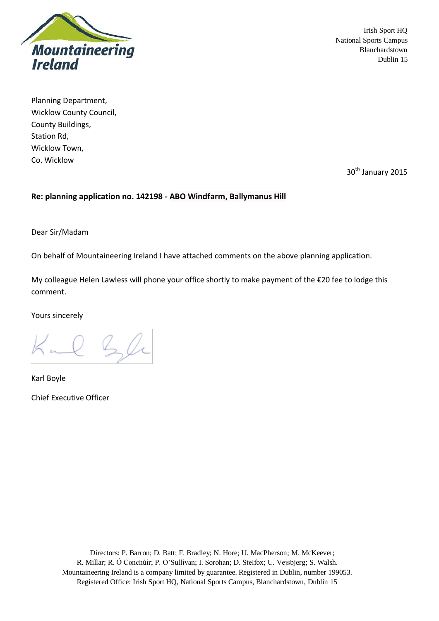

Planning Department, Wicklow County Council, County Buildings, Station Rd, Wicklow Town, Co. Wicklow

30<sup>th</sup> January 2015

### **Re: planning application no. 142198 - ABO Windfarm, Ballymanus Hill**

Dear Sir/Madam

On behalf of Mountaineering Ireland I have attached comments on the above planning application.

My colleague Helen Lawless will phone your office shortly to make payment of the €20 fee to lodge this comment.

Yours sincerely

Kul Sli

Karl Boyle Chief Executive Officer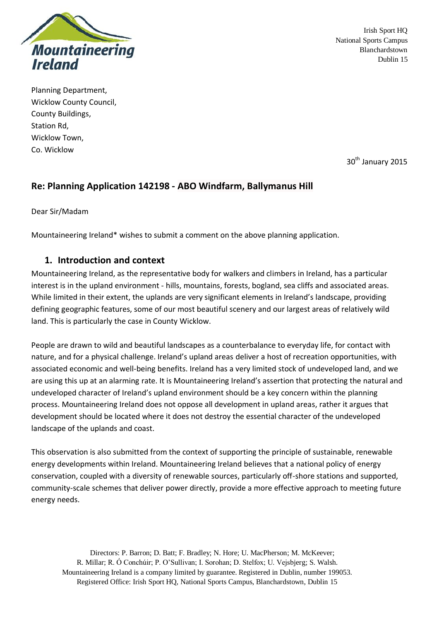

Planning Department, Wicklow County Council, County Buildings, Station Rd, Wicklow Town, Co. Wicklow

30<sup>th</sup> January 2015

# **Re: Planning Application 142198 - ABO Windfarm, Ballymanus Hill**

Dear Sir/Madam

Mountaineering Ireland\* wishes to submit a comment on the above planning application.

## **1. Introduction and context**

Mountaineering Ireland, as the representative body for walkers and climbers in Ireland, has a particular interest is in the upland environment - hills, mountains, forests, bogland, sea cliffs and associated areas. While limited in their extent, the uplands are very significant elements in Ireland's landscape, providing defining geographic features, some of our most beautiful scenery and our largest areas of relatively wild land. This is particularly the case in County Wicklow.

People are drawn to wild and beautiful landscapes as a counterbalance to everyday life, for contact with nature, and for a physical challenge. Ireland's upland areas deliver a host of recreation opportunities, with associated economic and well-being benefits. Ireland has a very limited stock of undeveloped land, and we are using this up at an alarming rate. It is Mountaineering Ireland's assertion that protecting the natural and undeveloped character of Ireland's upland environment should be a key concern within the planning process. Mountaineering Ireland does not oppose all development in upland areas, rather it argues that development should be located where it does not destroy the essential character of the undeveloped landscape of the uplands and coast.

This observation is also submitted from the context of supporting the principle of sustainable, renewable energy developments within Ireland. Mountaineering Ireland believes that a national policy of energy conservation, coupled with a diversity of renewable sources, particularly off-shore stations and supported, community-scale schemes that deliver power directly, provide a more effective approach to meeting future energy needs.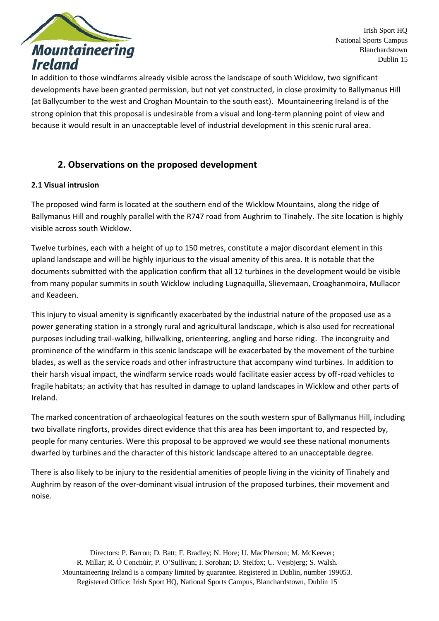

In addition to those windfarms already visible across the landscape of south Wicklow, two significant developments have been granted permission, but not yet constructed, in close proximity to Ballymanus Hill (at Ballycumber to the west and Croghan Mountain to the south east). Mountaineering Ireland is of the strong opinion that this proposal is undesirable from a visual and long-term planning point of view and because it would result in an unacceptable level of industrial development in this scenic rural area.

# **2. Observations on the proposed development**

## **2.1 Visual intrusion**

The proposed wind farm is located at the southern end of the Wicklow Mountains, along the ridge of Ballymanus Hill and roughly parallel with the R747 road from Aughrim to Tinahely. The site location is highly visible across south Wicklow.

Twelve turbines, each with a height of up to 150 metres, constitute a major discordant element in this upland landscape and will be highly injurious to the visual amenity of this area. It is notable that the documents submitted with the application confirm that all 12 turbines in the development would be visible from many popular summits in south Wicklow including Lugnaquilla, Slievemaan, Croaghanmoira, Mullacor and Keadeen.

This injury to visual amenity is significantly exacerbated by the industrial nature of the proposed use as a power generating station in a strongly rural and agricultural landscape, which is also used for recreational purposes including trail-walking, hillwalking, orienteering, angling and horse riding. The incongruity and prominence of the windfarm in this scenic landscape will be exacerbated by the movement of the turbine blades, as well as the service roads and other infrastructure that accompany wind turbines. In addition to their harsh visual impact, the windfarm service roads would facilitate easier access by off-road vehicles to fragile habitats; an activity that has resulted in damage to upland landscapes in Wicklow and other parts of Ireland.

The marked concentration of archaeological features on the south western spur of Ballymanus Hill, including two bivallate ringforts, provides direct evidence that this area has been important to, and respected by, people for many centuries. Were this proposal to be approved we would see these national monuments dwarfed by turbines and the character of this historic landscape altered to an unacceptable degree.

There is also likely to be injury to the residential amenities of people living in the vicinity of Tinahely and Aughrim by reason of the over-dominant visual intrusion of the proposed turbines, their movement and noise.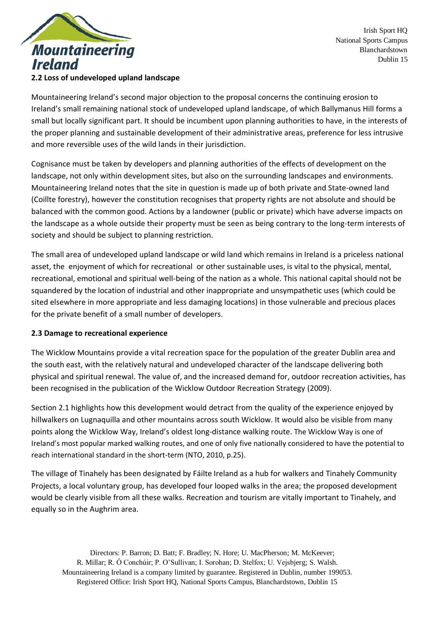

### **2.2 Loss of undeveloped upland landscape**

Mountaineering Ireland's second major objection to the proposal concerns the continuing erosion to Ireland's small remaining national stock of undeveloped upland landscape, of which Ballymanus Hill forms a small but locally significant part. It should be incumbent upon planning authorities to have, in the interests of the proper planning and sustainable development of their administrative areas, preference for less intrusive and more reversible uses of the wild lands in their jurisdiction.

Cognisance must be taken by developers and planning authorities of the effects of development on the landscape, not only within development sites, but also on the surrounding landscapes and environments. Mountaineering Ireland notes that the site in question is made up of both private and State-owned land (Coillte forestry), however the constitution recognises that property rights are not absolute and should be balanced with the common good. Actions by a landowner (public or private) which have adverse impacts on the landscape as a whole outside their property must be seen as being contrary to the long-term interests of society and should be subject to planning restriction.

The small area of undeveloped upland landscape or wild land which remains in Ireland is a priceless national asset, the enjoyment of which for recreational or other sustainable uses, is vital to the physical, mental, recreational, emotional and spiritual well-being of the nation as a whole. This national capital should not be squandered by the location of industrial and other inappropriate and unsympathetic uses (which could be sited elsewhere in more appropriate and less damaging locations) in those vulnerable and precious places for the private benefit of a small number of developers.

## **2.3 Damage to recreational experience**

The Wicklow Mountains provide a vital recreation space for the population of the greater Dublin area and the south east, with the relatively natural and undeveloped character of the landscape delivering both physical and spiritual renewal. The value of, and the increased demand for, outdoor recreation activities, has been recognised in the publication of the Wicklow Outdoor Recreation Strategy (2009).

Section 2.1 highlights how this development would detract from the quality of the experience enjoyed by hillwalkers on Lugnaquilla and other mountains across south Wicklow. It would also be visible from many points along the Wicklow Way, Ireland's oldest long-distance walking route. The Wicklow Way is one of Ireland's most popular marked walking routes, and one of only five nationally considered to have the potential to reach international standard in the short-term (NTO, 2010, p.25).

The village of Tinahely has been designated by Fáilte Ireland as a hub for walkers and Tinahely Community Projects, a local voluntary group, has developed four looped walks in the area; the proposed development would be clearly visible from all these walks. Recreation and tourism are vitally important to Tinahely, and equally so in the Aughrim area.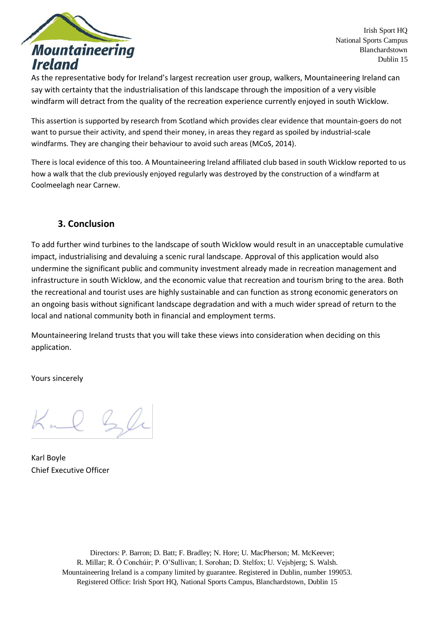

As the representative body for Ireland's largest recreation user group, walkers, Mountaineering Ireland can say with certainty that the industrialisation of this landscape through the imposition of a very visible windfarm will detract from the quality of the recreation experience currently enjoyed in south Wicklow.

This assertion is supported by research from Scotland which provides clear evidence that mountain-goers do not want to pursue their activity, and spend their money, in areas they regard as spoiled by industrial-scale windfarms. They are changing their behaviour to avoid such areas (MCoS, 2014).

There is local evidence of this too. A Mountaineering Ireland affiliated club based in south Wicklow reported to us how a walk that the club previously enjoyed regularly was destroyed by the construction of a windfarm at Coolmeelagh near Carnew.

# **3. Conclusion**

To add further wind turbines to the landscape of south Wicklow would result in an unacceptable cumulative impact, industrialising and devaluing a scenic rural landscape. Approval of this application would also undermine the significant public and community investment already made in recreation management and infrastructure in south Wicklow, and the economic value that recreation and tourism bring to the area. Both the recreational and tourist uses are highly sustainable and can function as strong economic generators on an ongoing basis without significant landscape degradation and with a much wider spread of return to the local and national community both in financial and employment terms.

Mountaineering Ireland trusts that you will take these views into consideration when deciding on this application.

Yours sincerely

Kul Sli

Karl Boyle Chief Executive Officer